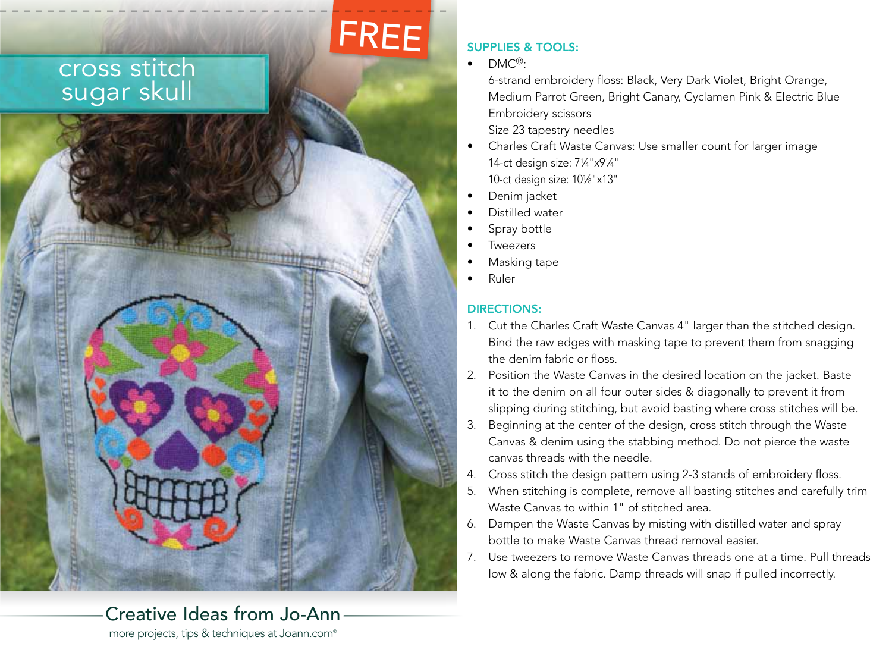## cross stitch sugar skull

# FREE

 $\bullet$  DMC<sup>®</sup>:

SUPPLIES & TOOLS:

6-strand embroidery floss: Black, Very Dark Violet, Bright Orange, Medium Parrot Green, Bright Canary, Cyclamen Pink & Electric Blue Embroidery scissors Size 23 tapestry needles

- Charles Craft Waste Canvas: Use smaller count for larger image 14-ct design size: 71 ⁄4"x91 ⁄4" 10-ct design size: 101 ⁄8"x13"
- • Denim jacket
- Distilled water
- Spray bottle
- **Tweezers**
- Masking tape
- • Ruler

### DIRECTIONS:

- 1. Cut the Charles Craft Waste Canvas 4" larger than the stitched design. Bind the raw edges with masking tape to prevent them from snagging the denim fabric or floss.
- 2. Position the Waste Canvas in the desired location on the jacket. Baste it to the denim on all four outer sides & diagonally to prevent it from slipping during stitching, but avoid basting where cross stitches will be.
- Beginning at the center of the design, cross stitch through the Waste Canvas & denim using the stabbing method. Do not pierce the waste canvas threads with the needle.
- 4. Cross stitch the design pattern using 2-3 stands of embroidery floss.
- 5. When stitching is complete, remove all basting stitches and carefully trim Waste Canvas to within 1" of stitched area.
- 6. Dampen the Waste Canvas by misting with distilled water and spray bottle to make Waste Canvas thread removal easier.
- 7. Use tweezers to remove Waste Canvas threads one at a time. Pull threads low & along the fabric. Damp threads will snap if pulled incorrectly.

## Creative Ideas from Jo-Ann

more projects, tips & techniques at Joann.com®